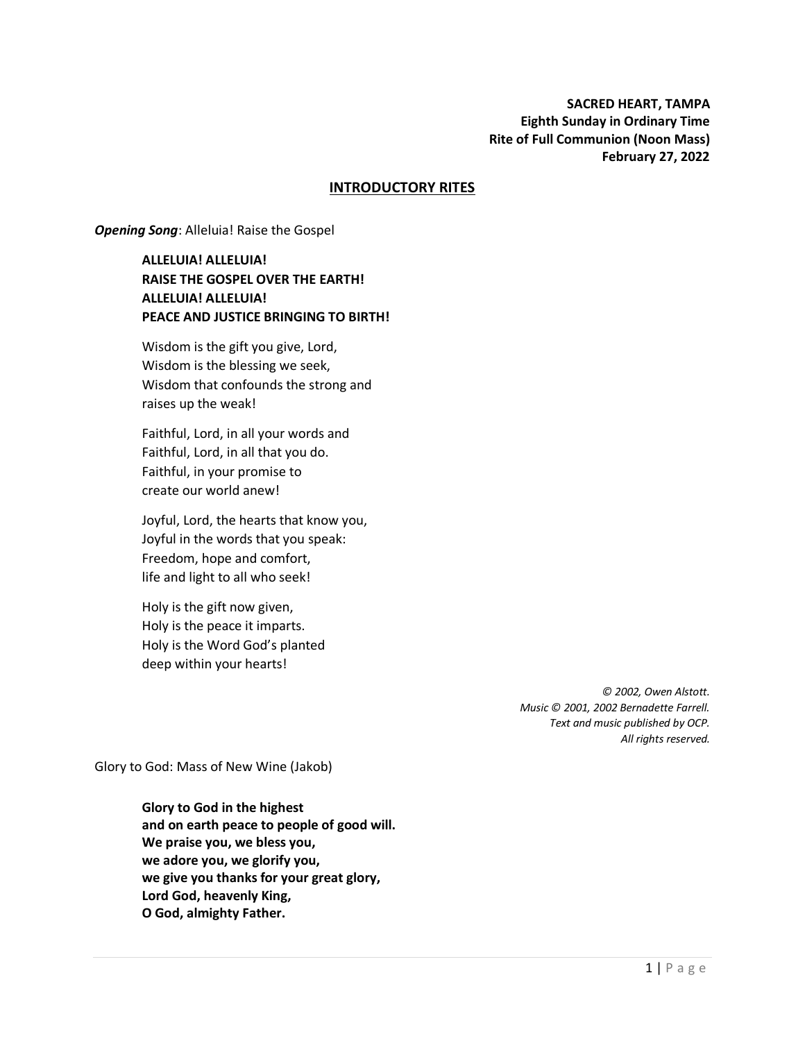### **INTRODUCTORY RITES**

**Opening Song: Alleluia! Raise the Gospel** 

**ALLELUIA! ALLELUIA! RAISE THE GOSPEL OVER THE EARTH! ALLELUIA! ALLELUIA! PEACE AND JUSTICE BRINGING TO BIRTH!**

Wisdom is the gift you give, Lord, Wisdom is the blessing we seek, Wisdom that confounds the strong and raises up the weak!

Faithful, Lord, in all your words and Faithful, Lord, in all that you do. Faithful, in your promise to create our world anew!

Joyful, Lord, the hearts that know you, Joyful in the words that you speak: Freedom, hope and comfort, life and light to all who seek!

Holy is the gift now given, Holy is the peace it imparts. Holy is the Word God's planted deep within your hearts!

> *© 2002, Owen Alstott. Music © 2001, 2002 Bernadette Farrell. Text and music published by OCP. All rights reserved.*

Glory to God: Mass of New Wine (Jakob)

**Glory to God in the highest and on earth peace to people of good will. We praise you, we bless you, we adore you, we glorify you, we give you thanks for your great glory, Lord God, heavenly King, O God, almighty Father.**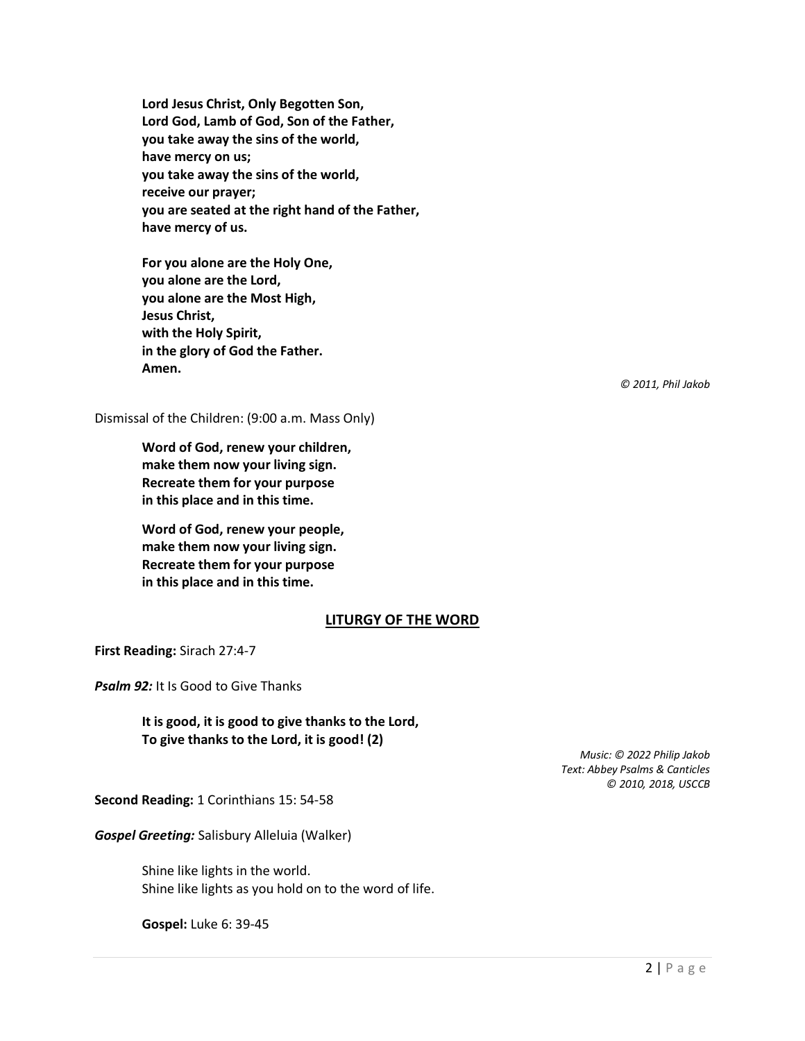**Lord Jesus Christ, Only Begotten Son, Lord God, Lamb of God, Son of the Father, you take away the sins of the world, have mercy on us; you take away the sins of the world, receive our prayer; you are seated at the right hand of the Father, have mercy of us.**

**For you alone are the Holy One, you alone are the Lord, you alone are the Most High, Jesus Christ, with the Holy Spirit, in the glory of God the Father. Amen.**

*© 2011, Phil Jakob*

Dismissal of the Children: (9:00 a.m. Mass Only)

**Word of God, renew your children, make them now your living sign. Recreate them for your purpose in this place and in this time.**

**Word of God, renew your people, make them now your living sign. Recreate them for your purpose in this place and in this time.**

#### **LITURGY OF THE WORD**

**First Reading:** Sirach 27:4-7

**Psalm 92:** It Is Good to Give Thanks

**It is good, it is good to give thanks to the Lord, To give thanks to the Lord, it is good! (2)**

> *Music: © 2022 Philip Jakob Text: Abbey Psalms & Canticles © 2010, 2018, USCCB*

**Second Reading:** 1 Corinthians 15: 54-58

*Gospel Greeting:* Salisbury Alleluia (Walker)

Shine like lights in the world. Shine like lights as you hold on to the word of life.

**Gospel:** Luke 6: 39-45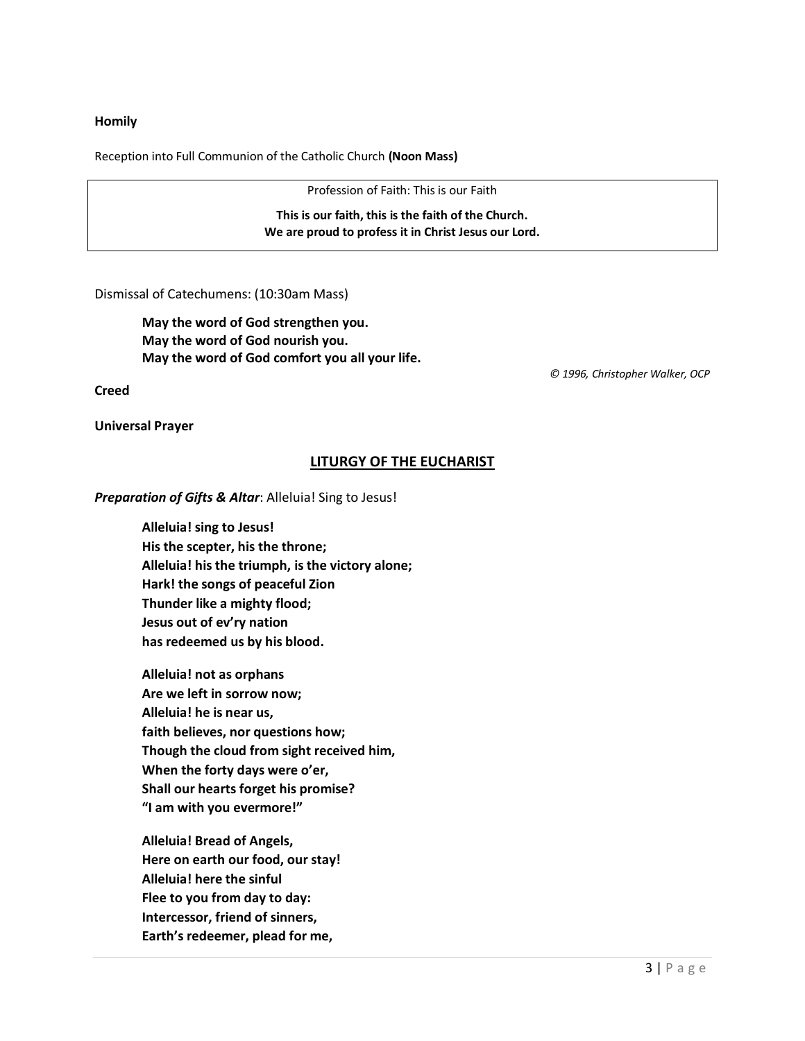### **Homily**

Reception into Full Communion of the Catholic Church **(Noon Mass)**

Profession of Faith: This is our Faith

**This is our faith, this is the faith of the Church. We are proud to profess it in Christ Jesus our Lord.**

Dismissal of Catechumens: (10:30am Mass)

**May the word of God strengthen you. May the word of God nourish you. May the word of God comfort you all your life.**

 *© 1996, Christopher Walker, OCP*

**Creed**

**Universal Prayer**

## **LITURGY OF THE EUCHARIST**

*Preparation of Gifts & Altar*: Alleluia! Sing to Jesus!

**Alleluia! sing to Jesus! His the scepter, his the throne; Alleluia! his the triumph, is the victory alone; Hark! the songs of peaceful Zion Thunder like a mighty flood; Jesus out of ev'ry nation has redeemed us by his blood.**

**Alleluia! not as orphans Are we left in sorrow now; Alleluia! he is near us, faith believes, nor questions how; Though the cloud from sight received him, When the forty days were o'er, Shall our hearts forget his promise? "I am with you evermore!"**

**Alleluia! Bread of Angels, Here on earth our food, our stay! Alleluia! here the sinful Flee to you from day to day: Intercessor, friend of sinners, Earth's redeemer, plead for me,**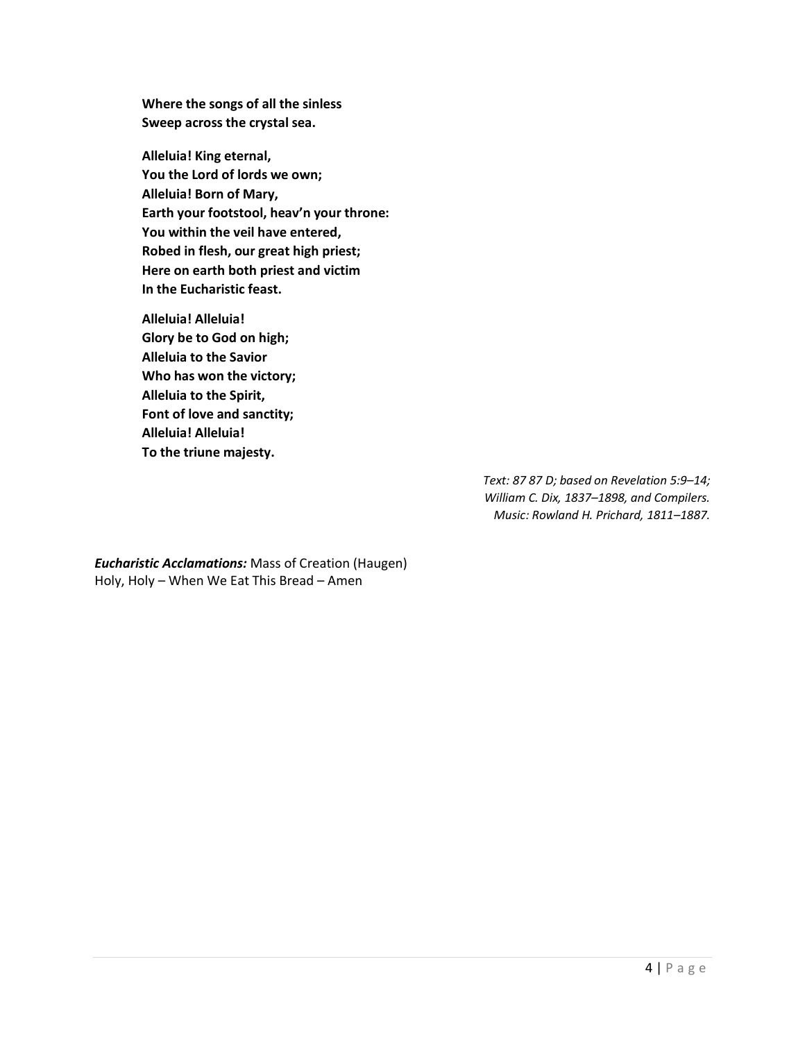**Where the songs of all the sinless Sweep across the crystal sea.** 

**Alleluia! King eternal, You the Lord of lords we own; Alleluia! Born of Mary, Earth your footstool, heav'n your throne: You within the veil have entered, Robed in flesh, our great high priest; Here on earth both priest and victim In the Eucharistic feast.**

**Alleluia! Alleluia! Glory be to God on high; Alleluia to the Savior Who has won the victory; Alleluia to the Spirit, Font of love and sanctity; Alleluia! Alleluia! To the triune majesty.**

> *Text: 87 87 D; based on Revelation 5:9–14; William C. Dix, 1837–1898, and Compilers. Music: Rowland H. Prichard, 1811–1887.*

*Eucharistic Acclamations:* Mass of Creation (Haugen) Holy, Holy – When We Eat This Bread – Amen